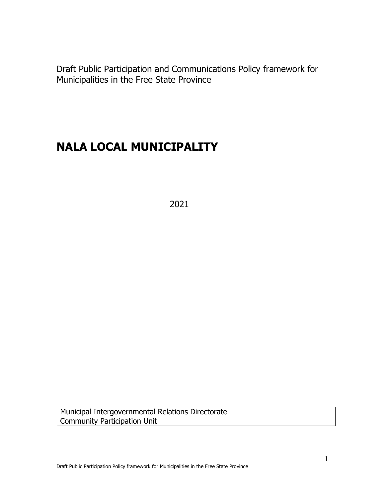Draft Public Participation and Communications Policy framework for Municipalities in the Free State Province

# **NALA LOCAL MUNICIPALITY**

2021

Municipal Intergovernmental Relations Directorate Community Participation Unit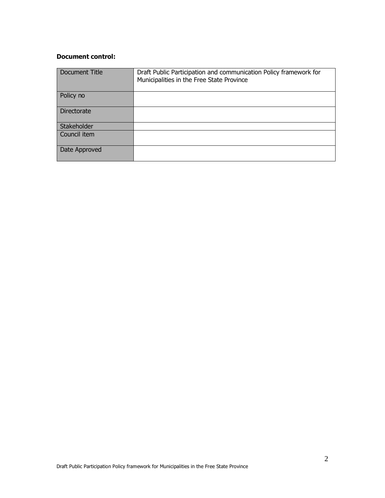#### **Document control:**

| Document Title | Draft Public Participation and communication Policy framework for<br>Municipalities in the Free State Province |
|----------------|----------------------------------------------------------------------------------------------------------------|
| Policy no      |                                                                                                                |
| Directorate    |                                                                                                                |
| Stakeholder    |                                                                                                                |
| Council item   |                                                                                                                |
| Date Approved  |                                                                                                                |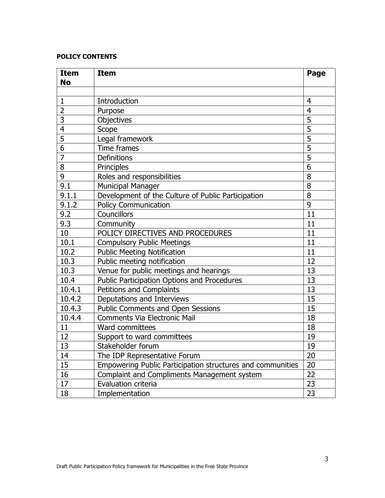#### **POLICY CONTENTS**

| <b>Item</b><br><b>No</b> | <b>Item</b>                                                | Page           |
|--------------------------|------------------------------------------------------------|----------------|
|                          |                                                            |                |
| $\mathbf{1}$             | Introduction                                               | $\overline{4}$ |
| $\overline{2}$           | Purpose                                                    | $\overline{4}$ |
| 3                        | Objectives                                                 | 5              |
| $\overline{4}$           | Scope                                                      | 5              |
| 5                        | Legal framework                                            | 5              |
| 6                        | Time frames                                                | 5              |
| $\overline{7}$           | <b>Definitions</b>                                         | 5              |
| 8                        | Principles                                                 | 6              |
| 9                        | Roles and responsibilities                                 | 8              |
| 9.1                      | <b>Municipal Manager</b>                                   | 8              |
| 9.1.1                    | Development of the Culture of Public Participation         | 8              |
| 9.1.2                    | <b>Policy Communication</b>                                | 9              |
| 9.2                      | Councillors                                                | 11             |
| 9.3                      | Community                                                  | 11             |
| 10                       | POLICY DIRECTIVES AND PROCEDURES                           | 11             |
| 10.1                     | <b>Compulsory Public Meetings</b>                          | 11             |
| 10.2                     | <b>Public Meeting Notification</b>                         | 11             |
| 10.3                     | Public meeting notification                                | 12             |
| 10.3                     | Venue for public meetings and hearings                     | 13             |
| 10.4                     | Public Participation Options and Procedures                | 13             |
| 10.4.1                   | Petitions and Complaints                                   | 13             |
| 10.4.2                   | Deputations and Interviews                                 | 15             |
| 10.4.3                   | <b>Public Comments and Open Sessions</b>                   | 15             |
| 10.4.4                   | <b>Comments Via Electronic Mail</b>                        | 18             |
| 11                       | Ward committees                                            | 18             |
| 12                       | Support to ward committees                                 | 19             |
| 13                       | Stakeholder forum                                          | 19             |
| 14                       | The IDP Representative Forum                               | 20             |
| 15                       | Empowering Public Participation structures and communities | 20             |
| 16                       | Complaint and Compliments Management system                | 22             |
| 17                       | Evaluation criteria                                        | 23             |
| 18                       | Implementation                                             | 23             |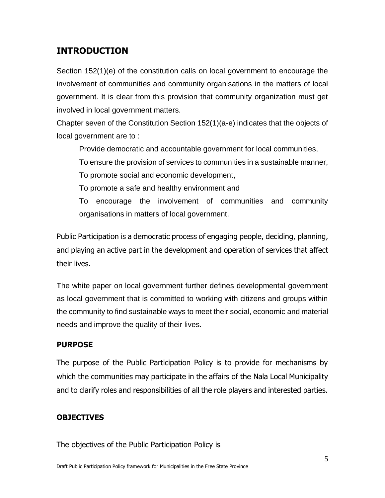# **INTRODUCTION**

Section 152(1)(e) of the constitution calls on local government to encourage the involvement of communities and community organisations in the matters of local government. It is clear from this provision that community organization must get involved in local government matters.

Chapter seven of the Constitution Section 152(1)(a-e) indicates that the objects of local government are to :

Provide democratic and accountable government for local communities,

To ensure the provision of services to communities in a sustainable manner,

To promote social and economic development,

To promote a safe and healthy environment and

To encourage the involvement of communities and community organisations in matters of local government.

Public Participation is a democratic process of engaging people, deciding, planning, and playing an active part in the development and operation of services that affect their lives.

The white paper on local government further defines developmental government as local government that is committed to working with citizens and groups within the community to find sustainable ways to meet their social, economic and material needs and improve the quality of their lives.

### **PURPOSE**

The purpose of the Public Participation Policy is to provide for mechanisms by which the communities may participate in the affairs of the Nala Local Municipality and to clarify roles and responsibilities of all the role players and interested parties.

### **OBJECTIVES**

The objectives of the Public Participation Policy is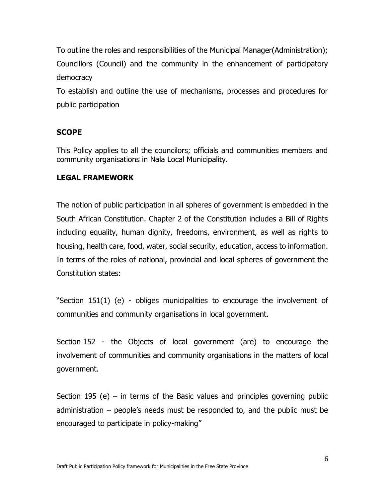To outline the roles and responsibilities of the Municipal Manager(Administration); Councillors (Council) and the community in the enhancement of participatory democracy

To establish and outline the use of mechanisms, processes and procedures for public participation

### **SCOPE**

This Policy applies to all the councilors; officials and communities members and community organisations in Nala Local Municipality.

#### **LEGAL FRAMEWORK**

The notion of public participation in all spheres of government is embedded in the South African Constitution. Chapter 2 of the Constitution includes a Bill of Rights including equality, human dignity, freedoms, environment, as well as rights to housing, health care, food, water, social security, education, access to information. In terms of the roles of national, provincial and local spheres of government the Constitution states:

"Section 151(1) (e) - obliges municipalities to encourage the involvement of communities and community organisations in local government.

Section 152 - the Objects of local government (are) to encourage the involvement of communities and community organisations in the matters of local government.

Section 195 (e) – in terms of the Basic values and principles governing public administration – people's needs must be responded to, and the public must be encouraged to participate in policy-making"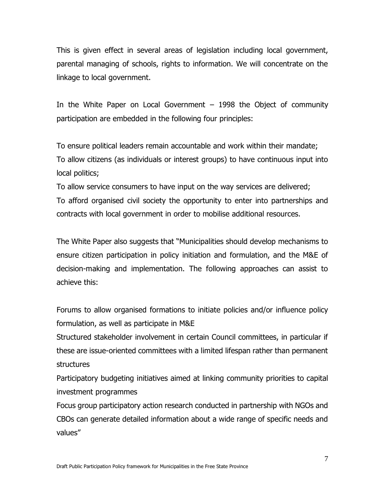This is given effect in several areas of legislation including local government, parental managing of schools, rights to information. We will concentrate on the linkage to local government.

In the White Paper on Local Government – 1998 the Object of community participation are embedded in the following four principles:

To ensure political leaders remain accountable and work within their mandate; To allow citizens (as individuals or interest groups) to have continuous input into local politics;

To allow service consumers to have input on the way services are delivered; To afford organised civil society the opportunity to enter into partnerships and contracts with local government in order to mobilise additional resources.

The White Paper also suggests that "Municipalities should develop mechanisms to ensure citizen participation in policy initiation and formulation, and the M&E of decision-making and implementation. The following approaches can assist to achieve this:

Forums to allow organised formations to initiate policies and/or influence policy formulation, as well as participate in M&E

Structured stakeholder involvement in certain Council committees, in particular if these are issue-oriented committees with a limited lifespan rather than permanent structures

Participatory budgeting initiatives aimed at linking community priorities to capital investment programmes

Focus group participatory action research conducted in partnership with NGOs and CBOs can generate detailed information about a wide range of specific needs and values"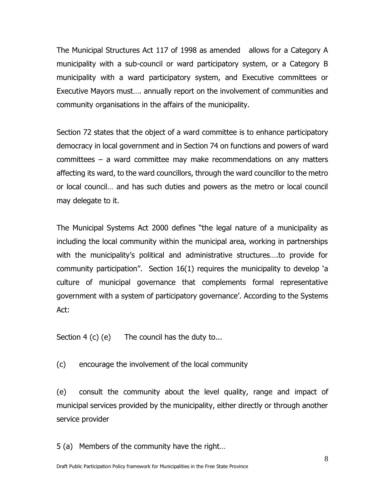The Municipal Structures Act 117 of 1998 as amended allows for a Category A municipality with a sub-council or ward participatory system, or a Category B municipality with a ward participatory system, and Executive committees or Executive Mayors must…. annually report on the involvement of communities and community organisations in the affairs of the municipality.

Section 72 states that the object of a ward committee is to enhance participatory democracy in local government and in Section 74 on functions and powers of ward committees – a ward committee may make recommendations on any matters affecting its ward, to the ward councillors, through the ward councillor to the metro or local council… and has such duties and powers as the metro or local council may delegate to it.

The Municipal Systems Act 2000 defines "the legal nature of a municipality as including the local community within the municipal area, working in partnerships with the municipality's political and administrative structures….to provide for community participation". Section 16(1) requires the municipality to develop 'a culture of municipal governance that complements formal representative government with a system of participatory governance'. According to the Systems Act:

Section 4 (c) (e) The council has the duty to...

(c) encourage the involvement of the local community

(e) consult the community about the level quality, range and impact of municipal services provided by the municipality, either directly or through another service provider

5 (a) Members of the community have the right…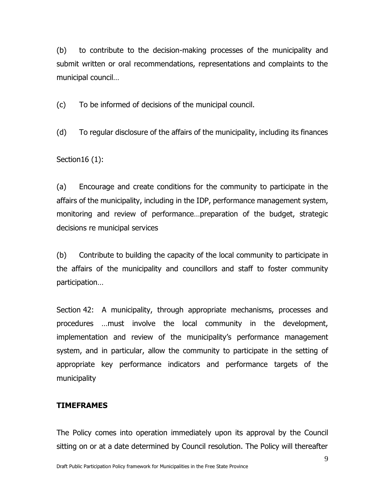(b) to contribute to the decision-making processes of the municipality and submit written or oral recommendations, representations and complaints to the municipal council…

(c) To be informed of decisions of the municipal council.

(d) To regular disclosure of the affairs of the municipality, including its finances

Section16 (1):

(a) Encourage and create conditions for the community to participate in the affairs of the municipality, including in the IDP, performance management system, monitoring and review of performance…preparation of the budget, strategic decisions re municipal services

(b) Contribute to building the capacity of the local community to participate in the affairs of the municipality and councillors and staff to foster community participation…

Section 42: A municipality, through appropriate mechanisms, processes and procedures …must involve the local community in the development, implementation and review of the municipality's performance management system, and in particular, allow the community to participate in the setting of appropriate key performance indicators and performance targets of the municipality

#### **TIMEFRAMES**

The Policy comes into operation immediately upon its approval by the Council sitting on or at a date determined by Council resolution. The Policy will thereafter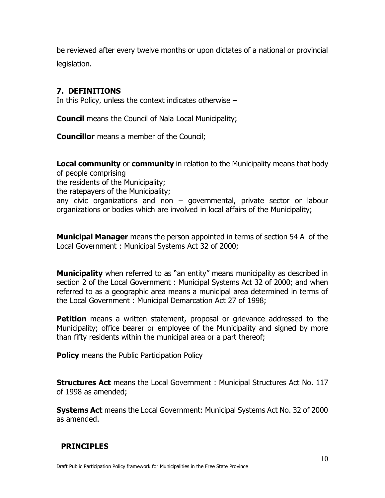be reviewed after every twelve months or upon dictates of a national or provincial legislation.

### **7. DEFINITIONS**

In this Policy, unless the context indicates otherwise –

**Council** means the Council of Nala Local Municipality;

**Councillor** means a member of the Council;

**Local community** or **community** in relation to the Municipality means that body of people comprising the residents of the Municipality; the ratepayers of the Municipality; any civic organizations and non – governmental, private sector or labour organizations or bodies which are involved in local affairs of the Municipality;

**Municipal Manager** means the person appointed in terms of section 54 A of the Local Government : Municipal Systems Act 32 of 2000;

**Municipality** when referred to as "an entity" means municipality as described in section 2 of the Local Government : Municipal Systems Act 32 of 2000; and when referred to as a geographic area means a municipal area determined in terms of the Local Government : Municipal Demarcation Act 27 of 1998;

**Petition** means a written statement, proposal or grievance addressed to the Municipality; office bearer or employee of the Municipality and signed by more than fifty residents within the municipal area or a part thereof;

**Policy** means the Public Participation Policy

**Structures Act** means the Local Government : Municipal Structures Act No. 117 of 1998 as amended;

**Systems Act** means the Local Government: Municipal Systems Act No. 32 of 2000 as amended.

### **PRINCIPLES**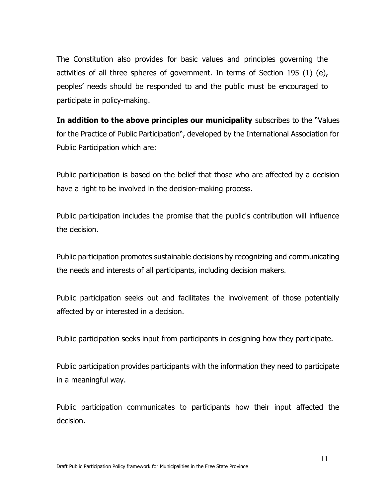The Constitution also provides for basic values and principles governing the activities of all three spheres of government. In terms of Section 195 (1) (e), peoples' needs should be responded to and the public must be encouraged to participate in policy-making.

**In addition to the above principles our municipality** subscribes to the "Values for the Practice of Public Participation", developed by the International Association for Public Participation which are:

Public participation is based on the belief that those who are affected by a decision have a right to be involved in the decision-making process.

Public participation includes the promise that the public's contribution will influence the decision.

Public participation promotes sustainable decisions by recognizing and communicating the needs and interests of all participants, including decision makers.

Public participation seeks out and facilitates the involvement of those potentially affected by or interested in a decision.

Public participation seeks input from participants in designing how they participate.

Public participation provides participants with the information they need to participate in a meaningful way.

Public participation communicates to participants how their input affected the decision.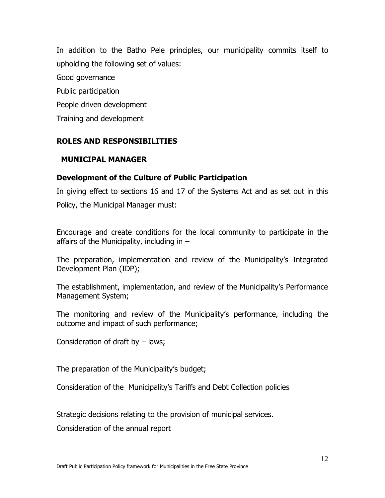In addition to the Batho Pele principles, our municipality commits itself to upholding the following set of values: Good governance Public participation People driven development Training and development

# **ROLES AND RESPONSIBILITIES**

#### **MUNICIPAL MANAGER**

#### **Development of the Culture of Public Participation**

In giving effect to sections 16 and 17 of the Systems Act and as set out in this Policy, the Municipal Manager must:

Encourage and create conditions for the local community to participate in the affairs of the Municipality, including in  $-$ 

The preparation, implementation and review of the Municipality's Integrated Development Plan (IDP);

The establishment, implementation, and review of the Municipality's Performance Management System;

The monitoring and review of the Municipality's performance, including the outcome and impact of such performance;

Consideration of draft by – laws;

The preparation of the Municipality's budget;

Consideration of the Municipality's Tariffs and Debt Collection policies

Strategic decisions relating to the provision of municipal services.

Consideration of the annual report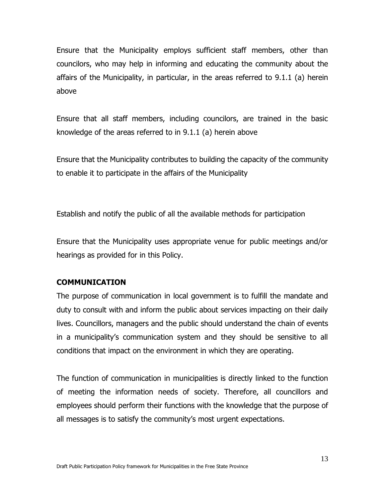Ensure that the Municipality employs sufficient staff members, other than councilors, who may help in informing and educating the community about the affairs of the Municipality, in particular, in the areas referred to 9.1.1 (a) herein above

Ensure that all staff members, including councilors, are trained in the basic knowledge of the areas referred to in 9.1.1 (a) herein above

Ensure that the Municipality contributes to building the capacity of the community to enable it to participate in the affairs of the Municipality

Establish and notify the public of all the available methods for participation

Ensure that the Municipality uses appropriate venue for public meetings and/or hearings as provided for in this Policy.

### **COMMUNICATION**

The purpose of communication in local government is to fulfill the mandate and duty to consult with and inform the public about services impacting on their daily lives. Councillors, managers and the public should understand the chain of events in a municipality's communication system and they should be sensitive to all conditions that impact on the environment in which they are operating.

The function of communication in municipalities is directly linked to the function of meeting the information needs of society. Therefore, all councillors and employees should perform their functions with the knowledge that the purpose of all messages is to satisfy the community's most urgent expectations.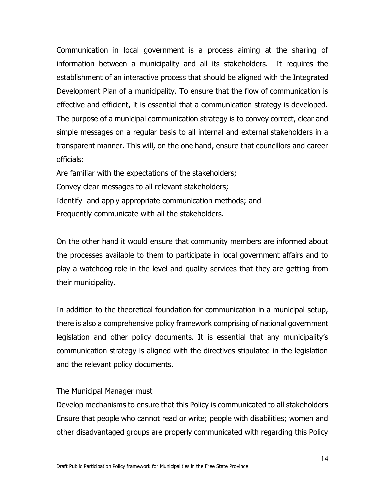Communication in local government is a process aiming at the sharing of information between a municipality and all its stakeholders. It requires the establishment of an interactive process that should be aligned with the Integrated Development Plan of a municipality. To ensure that the flow of communication is effective and efficient, it is essential that a communication strategy is developed. The purpose of a municipal communication strategy is to convey correct, clear and simple messages on a regular basis to all internal and external stakeholders in a transparent manner. This will, on the one hand, ensure that councillors and career officials:

Are familiar with the expectations of the stakeholders; Convey clear messages to all relevant stakeholders; Identify and apply appropriate communication methods; and Frequently communicate with all the stakeholders.

On the other hand it would ensure that community members are informed about the processes available to them to participate in local government affairs and to play a watchdog role in the level and quality services that they are getting from their municipality.

In addition to the theoretical foundation for communication in a municipal setup, there is also a comprehensive policy framework comprising of national government legislation and other policy documents. It is essential that any municipality's communication strategy is aligned with the directives stipulated in the legislation and the relevant policy documents.

#### The Municipal Manager must

Develop mechanisms to ensure that this Policy is communicated to all stakeholders Ensure that people who cannot read or write; people with disabilities; women and other disadvantaged groups are properly communicated with regarding this Policy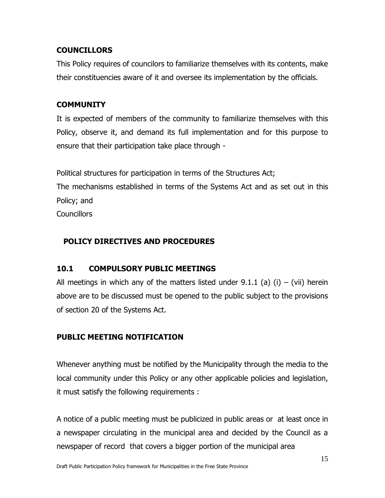# **COUNCILLORS**

This Policy requires of councilors to familiarize themselves with its contents, make their constituencies aware of it and oversee its implementation by the officials.

# **COMMUNITY**

It is expected of members of the community to familiarize themselves with this Policy, observe it, and demand its full implementation and for this purpose to ensure that their participation take place through -

Political structures for participation in terms of the Structures Act; The mechanisms established in terms of the Systems Act and as set out in this Policy; and **Councillors** 

# **POLICY DIRECTIVES AND PROCEDURES**

# **10.1 COMPULSORY PUBLIC MEETINGS**

All meetings in which any of the matters listed under  $9.1.1$  (a) (i) – (vii) herein above are to be discussed must be opened to the public subject to the provisions of section 20 of the Systems Act.

# **PUBLIC MEETING NOTIFICATION**

Whenever anything must be notified by the Municipality through the media to the local community under this Policy or any other applicable policies and legislation, it must satisfy the following requirements :

A notice of a public meeting must be publicized in public areas or at least once in a newspaper circulating in the municipal area and decided by the Council as a newspaper of record that covers a bigger portion of the municipal area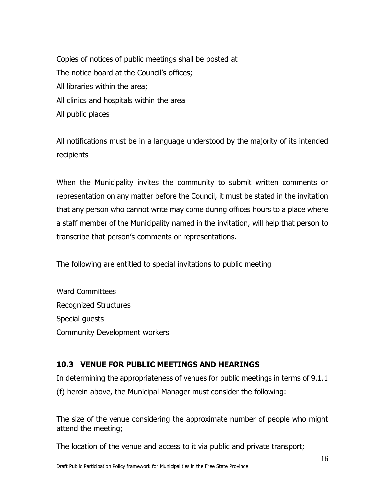Copies of notices of public meetings shall be posted at The notice board at the Council's offices; All libraries within the area; All clinics and hospitals within the area All public places

All notifications must be in a language understood by the majority of its intended recipients

When the Municipality invites the community to submit written comments or representation on any matter before the Council, it must be stated in the invitation that any person who cannot write may come during offices hours to a place where a staff member of the Municipality named in the invitation, will help that person to transcribe that person's comments or representations.

The following are entitled to special invitations to public meeting

Ward Committees Recognized Structures Special guests Community Development workers

# **10.3 VENUE FOR PUBLIC MEETINGS AND HEARINGS**

In determining the appropriateness of venues for public meetings in terms of 9.1.1 (f) herein above, the Municipal Manager must consider the following:

The size of the venue considering the approximate number of people who might attend the meeting;

The location of the venue and access to it via public and private transport;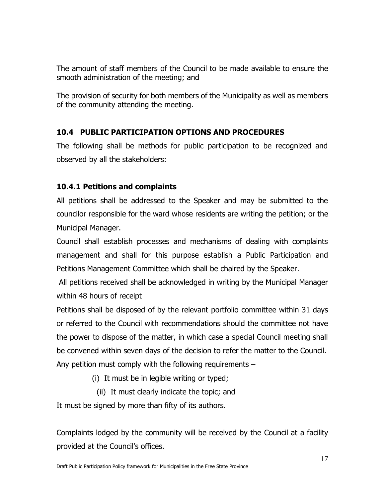The amount of staff members of the Council to be made available to ensure the smooth administration of the meeting; and

The provision of security for both members of the Municipality as well as members of the community attending the meeting.

# **10.4 PUBLIC PARTICIPATION OPTIONS AND PROCEDURES**

The following shall be methods for public participation to be recognized and observed by all the stakeholders:

### **10.4.1 Petitions and complaints**

All petitions shall be addressed to the Speaker and may be submitted to the councilor responsible for the ward whose residents are writing the petition; or the Municipal Manager.

Council shall establish processes and mechanisms of dealing with complaints management and shall for this purpose establish a Public Participation and Petitions Management Committee which shall be chaired by the Speaker.

All petitions received shall be acknowledged in writing by the Municipal Manager within 48 hours of receipt

Petitions shall be disposed of by the relevant portfolio committee within 31 days or referred to the Council with recommendations should the committee not have the power to dispose of the matter, in which case a special Council meeting shall be convened within seven days of the decision to refer the matter to the Council. Any petition must comply with the following requirements –

(i) It must be in legible writing or typed;

(ii) It must clearly indicate the topic; and

It must be signed by more than fifty of its authors.

Complaints lodged by the community will be received by the Council at a facility provided at the Council's offices.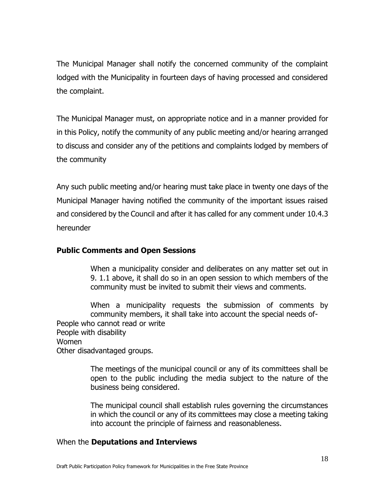The Municipal Manager shall notify the concerned community of the complaint lodged with the Municipality in fourteen days of having processed and considered the complaint.

The Municipal Manager must, on appropriate notice and in a manner provided for in this Policy, notify the community of any public meeting and/or hearing arranged to discuss and consider any of the petitions and complaints lodged by members of the community

Any such public meeting and/or hearing must take place in twenty one days of the Municipal Manager having notified the community of the important issues raised and considered by the Council and after it has called for any comment under 10.4.3 hereunder

### **Public Comments and Open Sessions**

When a municipality consider and deliberates on any matter set out in 9. 1.1 above, it shall do so in an open session to which members of the community must be invited to submit their views and comments.

When a municipality requests the submission of comments by community members, it shall take into account the special needs of-People who cannot read or write People with disability Women Other disadvantaged groups.

> The meetings of the municipal council or any of its committees shall be open to the public including the media subject to the nature of the business being considered.

> The municipal council shall establish rules governing the circumstances in which the council or any of its committees may close a meeting taking into account the principle of fairness and reasonableness.

### When the **Deputations and Interviews**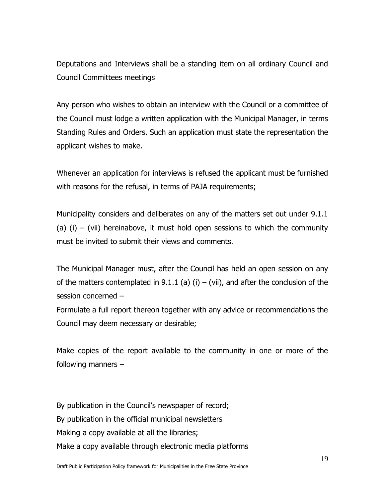Deputations and Interviews shall be a standing item on all ordinary Council and Council Committees meetings

Any person who wishes to obtain an interview with the Council or a committee of the Council must lodge a written application with the Municipal Manager, in terms Standing Rules and Orders. Such an application must state the representation the applicant wishes to make.

Whenever an application for interviews is refused the applicant must be furnished with reasons for the refusal, in terms of PAJA requirements;

Municipality considers and deliberates on any of the matters set out under 9.1.1 (a) (i) – (vii) hereinabove, it must hold open sessions to which the community must be invited to submit their views and comments.

The Municipal Manager must, after the Council has held an open session on any of the matters contemplated in 9.1.1 (a) (i) – (vii), and after the conclusion of the session concerned –

Formulate a full report thereon together with any advice or recommendations the Council may deem necessary or desirable;

Make copies of the report available to the community in one or more of the following manners –

By publication in the Council's newspaper of record; By publication in the official municipal newsletters Making a copy available at all the libraries; Make a copy available through electronic media platforms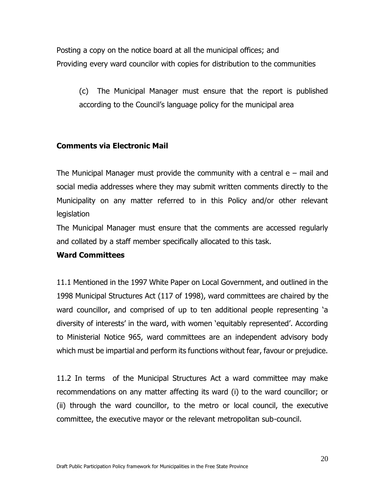Posting a copy on the notice board at all the municipal offices; and Providing every ward councilor with copies for distribution to the communities

(c) The Municipal Manager must ensure that the report is published according to the Council's language policy for the municipal area

#### **Comments via Electronic Mail**

The Municipal Manager must provide the community with a central  $e$  – mail and social media addresses where they may submit written comments directly to the Municipality on any matter referred to in this Policy and/or other relevant legislation

The Municipal Manager must ensure that the comments are accessed regularly and collated by a staff member specifically allocated to this task.

#### **Ward Committees**

11.1 Mentioned in the 1997 White Paper on Local Government, and outlined in the 1998 Municipal Structures Act (117 of 1998), ward committees are chaired by the ward councillor, and comprised of up to ten additional people representing 'a diversity of interests' in the ward, with women 'equitably represented'. According to Ministerial Notice 965, ward committees are an independent advisory body which must be impartial and perform its functions without fear, favour or prejudice.

11.2 In terms of the Municipal Structures Act a ward committee may make recommendations on any matter affecting its ward (i) to the ward councillor; or (ii) through the ward councillor, to the metro or local council, the executive committee, the executive mayor or the relevant metropolitan sub-council.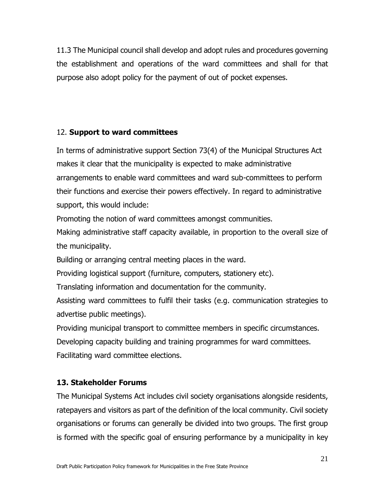11.3 The Municipal council shall develop and adopt rules and procedures governing the establishment and operations of the ward committees and shall for that purpose also adopt policy for the payment of out of pocket expenses.

# 12. **Support to ward committees**

In terms of administrative support Section 73(4) of the Municipal Structures Act makes it clear that the municipality is expected to make administrative arrangements to enable ward committees and ward sub-committees to perform their functions and exercise their powers effectively. In regard to administrative support, this would include:

Promoting the notion of ward committees amongst communities.

Making administrative staff capacity available, in proportion to the overall size of the municipality.

Building or arranging central meeting places in the ward.

Providing logistical support (furniture, computers, stationery etc).

Translating information and documentation for the community.

Assisting ward committees to fulfil their tasks (e.g. communication strategies to advertise public meetings).

Providing municipal transport to committee members in specific circumstances.

Developing capacity building and training programmes for ward committees. Facilitating ward committee elections.

# **13. Stakeholder Forums**

The Municipal Systems Act includes civil society organisations alongside residents, ratepayers and visitors as part of the definition of the local community. Civil society organisations or forums can generally be divided into two groups. The first group is formed with the specific goal of ensuring performance by a municipality in key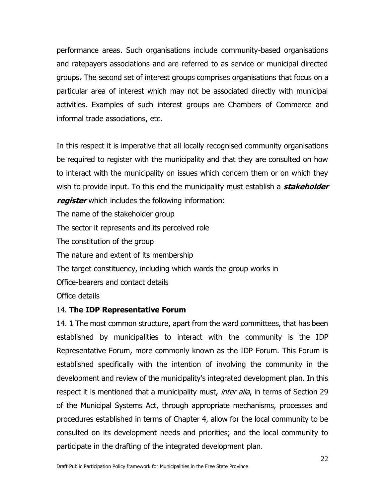performance areas. Such organisations include community-based organisations and ratepayers associations and are referred to as service or municipal directed groups**.** The second set of interest groups comprises organisations that focus on a particular area of interest which may not be associated directly with municipal activities. Examples of such interest groups are Chambers of Commerce and informal trade associations, etc.

In this respect it is imperative that all locally recognised community organisations be required to register with the municipality and that they are consulted on how to interact with the municipality on issues which concern them or on which they wish to provide input. To this end the municipality must establish a **stakeholder register** which includes the following information:

The name of the stakeholder group The sector it represents and its perceived role The constitution of the group The nature and extent of its membership The target constituency, including which wards the group works in Office-bearers and contact details Office details

#### 14. **The IDP Representative Forum**

14. 1 The most common structure, apart from the ward committees, that has been established by municipalities to interact with the community is the IDP Representative Forum, more commonly known as the IDP Forum. This Forum is established specifically with the intention of involving the community in the development and review of the municipality's integrated development plan. In this respect it is mentioned that a municipality must, *inter alia*, in terms of Section 29 of the Municipal Systems Act, through appropriate mechanisms, processes and procedures established in terms of Chapter 4, allow for the local community to be consulted on its development needs and priorities; and the local community to participate in the drafting of the integrated development plan.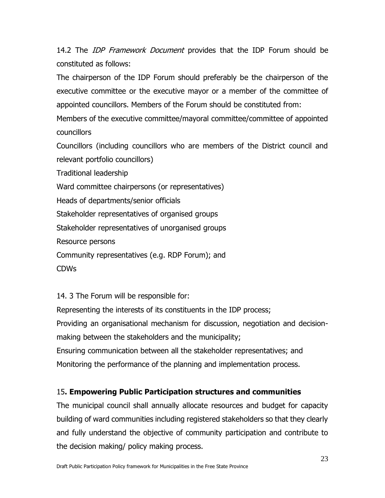14.2 The *IDP Framework Document* provides that the IDP Forum should be constituted as follows:

The chairperson of the IDP Forum should preferably be the chairperson of the executive committee or the executive mayor or a member of the committee of appointed councillors. Members of the Forum should be constituted from:

Members of the executive committee/mayoral committee/committee of appointed councillors

Councillors (including councillors who are members of the District council and relevant portfolio councillors)

Traditional leadership

Ward committee chairpersons (or representatives)

Heads of departments/senior officials

Stakeholder representatives of organised groups

Stakeholder representatives of unorganised groups

Resource persons

Community representatives (e.g. RDP Forum); and

CDWs

14. 3 The Forum will be responsible for:

Representing the interests of its constituents in the IDP process;

Providing an organisational mechanism for discussion, negotiation and decision-

making between the stakeholders and the municipality;

Ensuring communication between all the stakeholder representatives; and Monitoring the performance of the planning and implementation process.

# 15**. Empowering Public Participation structures and communities**

The municipal council shall annually allocate resources and budget for capacity building of ward communities including registered stakeholders so that they clearly and fully understand the objective of community participation and contribute to the decision making/ policy making process.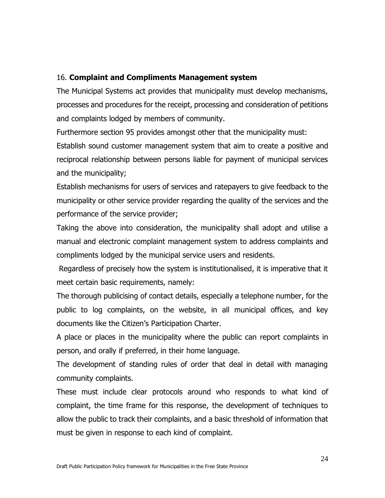### 16. **Complaint and Compliments Management system**

The Municipal Systems act provides that municipality must develop mechanisms, processes and procedures for the receipt, processing and consideration of petitions and complaints lodged by members of community.

Furthermore section 95 provides amongst other that the municipality must:

Establish sound customer management system that aim to create a positive and reciprocal relationship between persons liable for payment of municipal services and the municipality;

Establish mechanisms for users of services and ratepayers to give feedback to the municipality or other service provider regarding the quality of the services and the performance of the service provider;

Taking the above into consideration, the municipality shall adopt and utilise a manual and electronic complaint management system to address complaints and compliments lodged by the municipal service users and residents.

Regardless of precisely how the system is institutionalised, it is imperative that it meet certain basic requirements, namely:

The thorough publicising of contact details, especially a telephone number, for the public to log complaints, on the website, in all municipal offices, and key documents like the Citizen's Participation Charter.

A place or places in the municipality where the public can report complaints in person, and orally if preferred, in their home language.

The development of standing rules of order that deal in detail with managing community complaints.

These must include clear protocols around who responds to what kind of complaint, the time frame for this response, the development of techniques to allow the public to track their complaints, and a basic threshold of information that must be given in response to each kind of complaint.